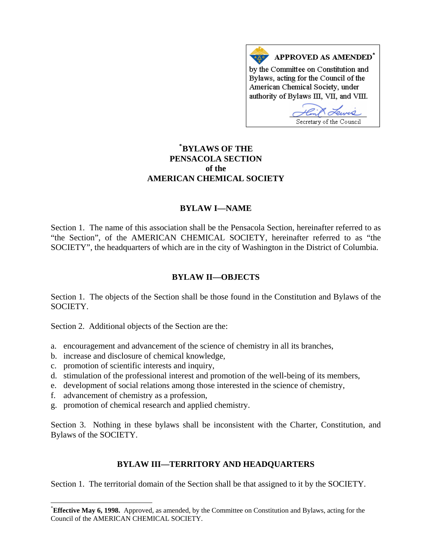

# **[\\*](#page-0-0) BYLAWS OF THE PENSACOLA SECTION of the AMERICAN CHEMICAL SOCIETY**

## **BYLAW I—NAME**

Section 1. The name of this association shall be the Pensacola Section, hereinafter referred to as "the Section", of the AMERICAN CHEMICAL SOCIETY, hereinafter referred to as "the SOCIETY", the headquarters of which are in the city of Washington in the District of Columbia.

# **BYLAW II—OBJECTS**

Section 1. The objects of the Section shall be those found in the Constitution and Bylaws of the SOCIETY.

Section 2. Additional objects of the Section are the:

- a. encouragement and advancement of the science of chemistry in all its branches,
- b. increase and disclosure of chemical knowledge,
- c. promotion of scientific interests and inquiry,
- d. stimulation of the professional interest and promotion of the well-being of its members,
- e. development of social relations among those interested in the science of chemistry,
- f. advancement of chemistry as a profession,

 $\overline{a}$ 

g. promotion of chemical research and applied chemistry.

Section 3. Nothing in these bylaws shall be inconsistent with the Charter, Constitution, and Bylaws of the SOCIETY.

## **BYLAW III—TERRITORY AND HEADQUARTERS**

Section 1. The territorial domain of the Section shall be that assigned to it by the SOCIETY.

<span id="page-0-0"></span><sup>\*</sup> **Effective May 6, 1998.** Approved, as amended, by the Committee on Constitution and Bylaws, acting for the Council of the AMERICAN CHEMICAL SOCIETY.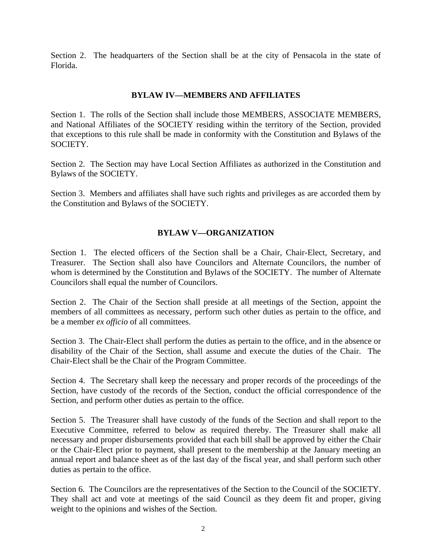Section 2. The headquarters of the Section shall be at the city of Pensacola in the state of Florida.

## **BYLAW IV—MEMBERS AND AFFILIATES**

Section 1. The rolls of the Section shall include those MEMBERS, ASSOCIATE MEMBERS, and National Affiliates of the SOCIETY residing within the territory of the Section, provided that exceptions to this rule shall be made in conformity with the Constitution and Bylaws of the SOCIETY.

Section 2. The Section may have Local Section Affiliates as authorized in the Constitution and Bylaws of the SOCIETY.

Section 3. Members and affiliates shall have such rights and privileges as are accorded them by the Constitution and Bylaws of the SOCIETY.

## **BYLAW V—ORGANIZATION**

Section 1. The elected officers of the Section shall be a Chair, Chair-Elect, Secretary, and Treasurer. The Section shall also have Councilors and Alternate Councilors, the number of whom is determined by the Constitution and Bylaws of the SOCIETY. The number of Alternate Councilors shall equal the number of Councilors.

Section 2. The Chair of the Section shall preside at all meetings of the Section, appoint the members of all committees as necessary, perform such other duties as pertain to the office, and be a member *ex officio* of all committees.

Section 3. The Chair-Elect shall perform the duties as pertain to the office, and in the absence or disability of the Chair of the Section, shall assume and execute the duties of the Chair. The Chair-Elect shall be the Chair of the Program Committee.

Section 4. The Secretary shall keep the necessary and proper records of the proceedings of the Section, have custody of the records of the Section, conduct the official correspondence of the Section, and perform other duties as pertain to the office.

Section 5. The Treasurer shall have custody of the funds of the Section and shall report to the Executive Committee, referred to below as required thereby. The Treasurer shall make all necessary and proper disbursements provided that each bill shall be approved by either the Chair or the Chair-Elect prior to payment, shall present to the membership at the January meeting an annual report and balance sheet as of the last day of the fiscal year, and shall perform such other duties as pertain to the office.

Section 6. The Councilors are the representatives of the Section to the Council of the SOCIETY. They shall act and vote at meetings of the said Council as they deem fit and proper, giving weight to the opinions and wishes of the Section.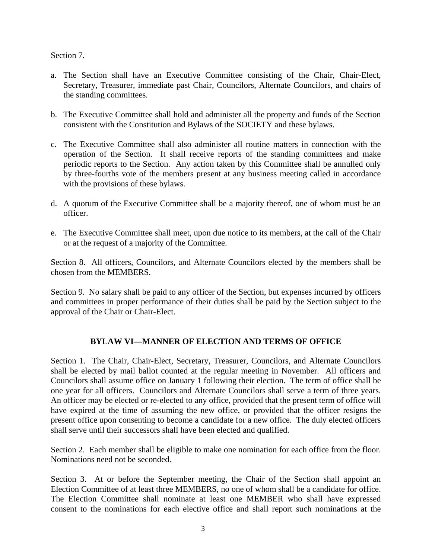Section 7.

- a. The Section shall have an Executive Committee consisting of the Chair, Chair-Elect, Secretary, Treasurer, immediate past Chair, Councilors, Alternate Councilors, and chairs of the standing committees.
- b. The Executive Committee shall hold and administer all the property and funds of the Section consistent with the Constitution and Bylaws of the SOCIETY and these bylaws.
- c. The Executive Committee shall also administer all routine matters in connection with the operation of the Section. It shall receive reports of the standing committees and make periodic reports to the Section. Any action taken by this Committee shall be annulled only by three-fourths vote of the members present at any business meeting called in accordance with the provisions of these bylaws.
- d. A quorum of the Executive Committee shall be a majority thereof, one of whom must be an officer.
- e. The Executive Committee shall meet, upon due notice to its members, at the call of the Chair or at the request of a majority of the Committee.

Section 8. All officers, Councilors, and Alternate Councilors elected by the members shall be chosen from the MEMBERS.

Section 9. No salary shall be paid to any officer of the Section, but expenses incurred by officers and committees in proper performance of their duties shall be paid by the Section subject to the approval of the Chair or Chair-Elect.

# **BYLAW VI—MANNER OF ELECTION AND TERMS OF OFFICE**

Section 1. The Chair, Chair-Elect, Secretary, Treasurer, Councilors, and Alternate Councilors shall be elected by mail ballot counted at the regular meeting in November. All officers and Councilors shall assume office on January 1 following their election. The term of office shall be one year for all officers. Councilors and Alternate Councilors shall serve a term of three years. An officer may be elected or re-elected to any office, provided that the present term of office will have expired at the time of assuming the new office, or provided that the officer resigns the present office upon consenting to become a candidate for a new office. The duly elected officers shall serve until their successors shall have been elected and qualified.

Section 2. Each member shall be eligible to make one nomination for each office from the floor. Nominations need not be seconded.

Section 3. At or before the September meeting, the Chair of the Section shall appoint an Election Committee of at least three MEMBERS, no one of whom shall be a candidate for office. The Election Committee shall nominate at least one MEMBER who shall have expressed consent to the nominations for each elective office and shall report such nominations at the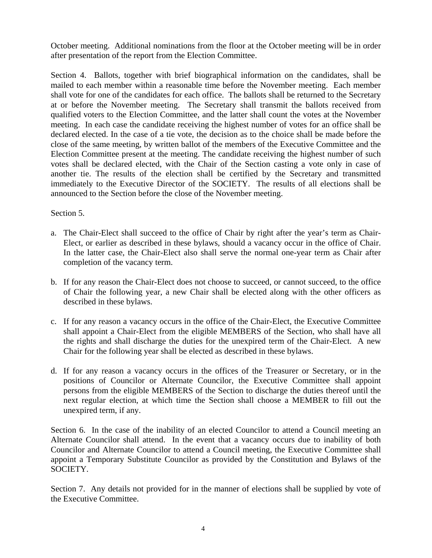October meeting. Additional nominations from the floor at the October meeting will be in order after presentation of the report from the Election Committee.

Section 4. Ballots, together with brief biographical information on the candidates, shall be mailed to each member within a reasonable time before the November meeting. Each member shall vote for one of the candidates for each office. The ballots shall be returned to the Secretary at or before the November meeting. The Secretary shall transmit the ballots received from qualified voters to the Election Committee, and the latter shall count the votes at the November meeting. In each case the candidate receiving the highest number of votes for an office shall be declared elected. In the case of a tie vote, the decision as to the choice shall be made before the close of the same meeting, by written ballot of the members of the Executive Committee and the Election Committee present at the meeting. The candidate receiving the highest number of such votes shall be declared elected, with the Chair of the Section casting a vote only in case of another tie. The results of the election shall be certified by the Secretary and transmitted immediately to the Executive Director of the SOCIETY. The results of all elections shall be announced to the Section before the close of the November meeting.

Section 5.

- a. The Chair-Elect shall succeed to the office of Chair by right after the year's term as Chair-Elect, or earlier as described in these bylaws, should a vacancy occur in the office of Chair. In the latter case, the Chair-Elect also shall serve the normal one-year term as Chair after completion of the vacancy term.
- b. If for any reason the Chair-Elect does not choose to succeed, or cannot succeed, to the office of Chair the following year, a new Chair shall be elected along with the other officers as described in these bylaws.
- c. If for any reason a vacancy occurs in the office of the Chair-Elect, the Executive Committee shall appoint a Chair-Elect from the eligible MEMBERS of the Section, who shall have all the rights and shall discharge the duties for the unexpired term of the Chair-Elect. A new Chair for the following year shall be elected as described in these bylaws.
- d. If for any reason a vacancy occurs in the offices of the Treasurer or Secretary, or in the positions of Councilor or Alternate Councilor, the Executive Committee shall appoint persons from the eligible MEMBERS of the Section to discharge the duties thereof until the next regular election, at which time the Section shall choose a MEMBER to fill out the unexpired term, if any.

Section 6. In the case of the inability of an elected Councilor to attend a Council meeting an Alternate Councilor shall attend. In the event that a vacancy occurs due to inability of both Councilor and Alternate Councilor to attend a Council meeting, the Executive Committee shall appoint a Temporary Substitute Councilor as provided by the Constitution and Bylaws of the SOCIETY.

Section 7. Any details not provided for in the manner of elections shall be supplied by vote of the Executive Committee.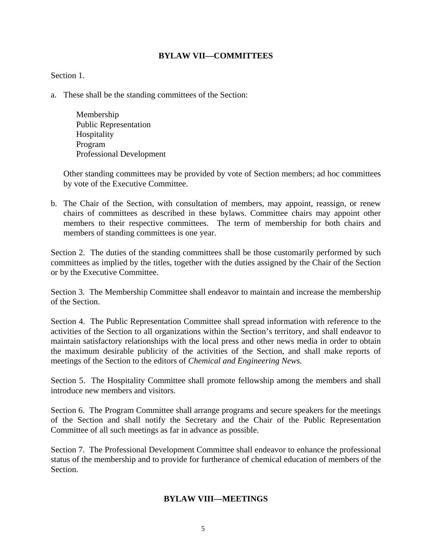#### **BYLAW VII—COMMITTEES**

#### Section 1.

- a. These shall be the standing committees of the Section:
	- Membership Public Representation Hospitality Program Professional Development

Other standing committees may be provided by vote of Section members; ad hoc committees by vote of the Executive Committee.

b. The Chair of the Section, with consultation of members, may appoint, reassign, or renew chairs of committees as described in these bylaws. Committee chairs may appoint other members to their respective committees. The term of membership for both chairs and members of standing committees is one year.

Section 2. The duties of the standing committees shall be those customarily performed by such committees as implied by the titles, together with the duties assigned by the Chair of the Section or by the Executive Committee.

Section 3. The Membership Committee shall endeavor to maintain and increase the membership of the Section.

Section 4. The Public Representation Committee shall spread information with reference to the activities of the Section to all organizations within the Section's territory, and shall endeavor to maintain satisfactory relationships with the local press and other news media in order to obtain the maximum desirable publicity of the activities of the Section, and shall make reports of meetings of the Section to the editors of *Chemical and Engineering News.*

Section 5. The Hospitality Committee shall promote fellowship among the members and shall introduce new members and visitors.

Section 6. The Program Committee shall arrange programs and secure speakers for the meetings of the Section and shall notify the Secretary and the Chair of the Public Representation Committee of all such meetings as far in advance as possible.

Section 7. The Professional Development Committee shall endeavor to enhance the professional status of the membership and to provide for furtherance of chemical education of members of the Section.

#### **BYLAW VIII—MEETINGS**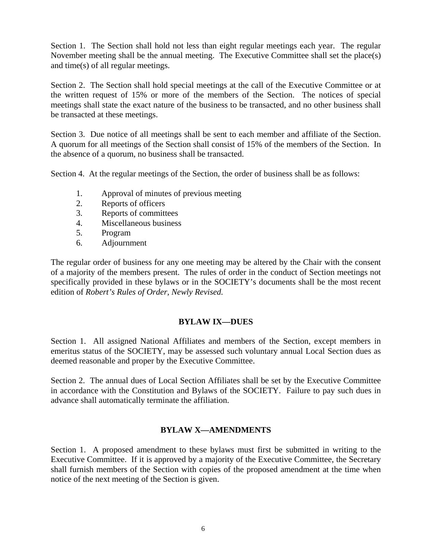Section 1. The Section shall hold not less than eight regular meetings each year. The regular November meeting shall be the annual meeting. The Executive Committee shall set the place(s) and time(s) of all regular meetings.

Section 2. The Section shall hold special meetings at the call of the Executive Committee or at the written request of 15% or more of the members of the Section. The notices of special meetings shall state the exact nature of the business to be transacted, and no other business shall be transacted at these meetings.

Section 3. Due notice of all meetings shall be sent to each member and affiliate of the Section. A quorum for all meetings of the Section shall consist of 15% of the members of the Section. In the absence of a quorum, no business shall be transacted.

Section 4. At the regular meetings of the Section, the order of business shall be as follows:

- 1. Approval of minutes of previous meeting
- 2. Reports of officers
- 3. Reports of committees
- 4. Miscellaneous business
- 5. Program
- 6. Adjournment

The regular order of business for any one meeting may be altered by the Chair with the consent of a majority of the members present. The rules of order in the conduct of Section meetings not specifically provided in these bylaws or in the SOCIETY's documents shall be the most recent edition of *Robert's Rules of Order, Newly Revised.*

## **BYLAW IX—DUES**

Section 1. All assigned National Affiliates and members of the Section, except members in emeritus status of the SOCIETY, may be assessed such voluntary annual Local Section dues as deemed reasonable and proper by the Executive Committee.

Section 2. The annual dues of Local Section Affiliates shall be set by the Executive Committee in accordance with the Constitution and Bylaws of the SOCIETY. Failure to pay such dues in advance shall automatically terminate the affiliation.

## **BYLAW X—AMENDMENTS**

Section 1. A proposed amendment to these bylaws must first be submitted in writing to the Executive Committee. If it is approved by a majority of the Executive Committee, the Secretary shall furnish members of the Section with copies of the proposed amendment at the time when notice of the next meeting of the Section is given.